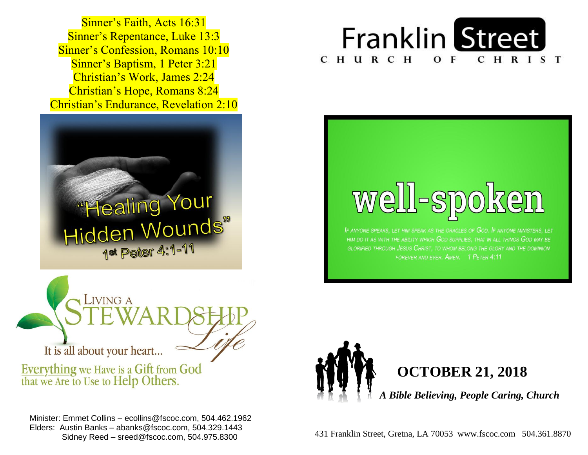**Sinner's Baptism, 1 Peter 3:21**  Christian's Work, James 2:24  Christian's Hope, Romans 8:24 Sinner's Faith, Acts 16:31 Sinner's Repentance, Luke 13:3 Sinner's Confession, Romans 10:10 Christian's Endurance, Revelation 2:10







If anyone speaks, let him speak as the oracles of  $Go$  . If anyone ministers, let HIM DO IT AS WITH THE ABILITY WHICH GOD SUPPLIES. THAT IN ALL THINGS GOD MAY BE GLORIFIED THROUGH JESUS CHRIST. TO WHOM BELONG THE GLORY AND THE DOMINION FOREVER AND EVER. AMEN. 1 PETER 4:11

LIVING A It is all about your heart...

Everything we Have is a Gift from God<br>that we Are to Use to Help Others.

 winister: Emmet Collins – ecollins@fscoc.com, 504.462.19<br>Elders: Austin Banks – abanks@fscoc.com, 504.329.1443  Sidney Reed – sreed@fscoc.com, 504.975.8300Minister: Emmet Collins – ecollins@fscoc.com, 504.462.1962